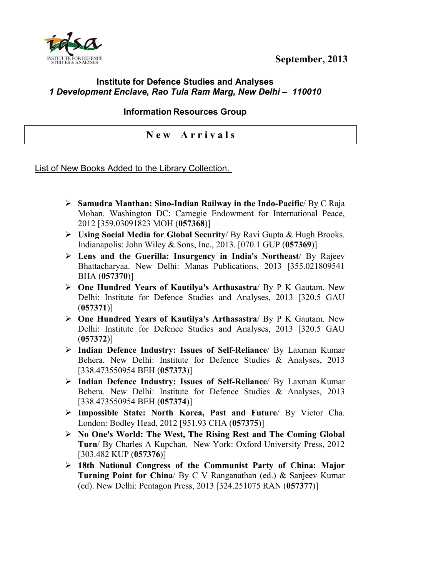



## **Institute for Defence Studies and Analyses**  *1 Development Enclave, Rao Tula Ram Marg, New Delhi – 110010*

## **Information Resources Group**

## **N e w A r r i v a l s**

## List of New Books Added to the Library Collection.

- ¾ **Samudra Manthan: Sino-Indian Railway in the Indo-Pacific**/ By C Raja Mohan. Washington DC: Carnegie Endowment for International Peace, 2012 [359.03091823 MOH (**057368**)]
- ¾ **Using Social Media for Global Security**/ By Ravi Gupta & Hugh Brooks. Indianapolis: John Wiley & Sons, Inc., 2013. [070.1 GUP (**057369**)]
- ¾ **Lens and the Guerilla: Insurgency in India's Northeast**/ By Rajeev Bhattacharyaa. New Delhi: Manas Publications, 2013 [355.021809541 BHA (**057370**)]
- ¾ **One Hundred Years of Kautilya's Arthasastra**/ By P K Gautam. New Delhi: Institute for Defence Studies and Analyses, 2013 [320.5 GAU (**057371**)]
- ¾ **One Hundred Years of Kautilya's Arthasastra**/ By P K Gautam. New Delhi: Institute for Defence Studies and Analyses, 2013 [320.5 GAU (**057372**)]
- ¾ **Indian Defence Industry: Issues of Self-Reliance**/ By Laxman Kumar Behera. New Delhi: Institute for Defence Studies & Analyses, 2013 [338.473550954 BEH (**057373**)]
- ¾ **Indian Defence Industry: Issues of Self-Reliance**/ By Laxman Kumar Behera. New Delhi: Institute for Defence Studies & Analyses, 2013 [338.473550954 BEH (**057374**)]
- ¾ **Impossible State: North Korea, Past and Future**/ By Victor Cha. London: Bodley Head, 2012 [951.93 CHA (**057375**)]
- ¾ **No One's World: The West, The Rising Rest and The Coming Global Turn**/ By Charles A Kupchan. New York: Oxford University Press, 2012 [303.482 KUP (**057376**)]
- ¾ **18th National Congress of the Communist Party of China: Major Turning Point for China**/ By C V Ranganathan (ed.) & Sanjeev Kumar (ed). New Delhi: Pentagon Press, 2013 [324.251075 RAN (**057377**)]